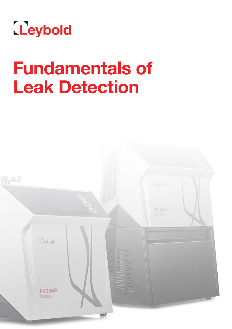

# **Fundamentals of Leak Detection**

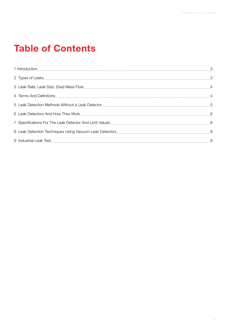# **Table of Contents**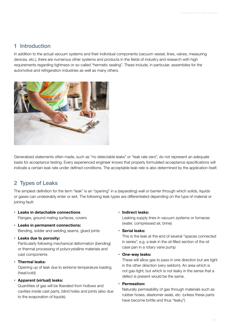# <span id="page-2-0"></span>1 Introduction

In addition to the actual vacuum systems and their individual components (vacuum vessel, lines, valves, measuring devices, etc.), there are numerous other systems and products in the fields of industry and research with high requirements regarding tightness or so-called "hermetic sealing". These include, in particular, assemblies for the automotive and refrigeration industries as well as many others.



Generalized statements often made, such as "no detectable leaks" or "leak rate zero", do not represent an adequate basis for acceptance testing. Every experienced engineer knows that properly formulated acceptance specifications will indicate a certain leak rate under defined conditions. The acceptable leak rate is also determined by the application itself.

# 2 Types of Leaks

The simplest definition for the term "leak" is an "opening" in a (separating) wall or barrier through which solids, liquids or gases can undesirably enter or exit. The following leak types are differentiated depending on the type of material or joining fault:

- **• Leaks in detachable connections** Flanges, ground mating surfaces, covers
- **• Leaks in permanent connections:**  Bending, solder and welding seams, glued joints
- **• Leaks due to porosity:**

Particularly following mechanical deformation (bending) or thermal processing of polycrystalline materials and cast components

**• Thermal leaks:** 

Opening up of leak due to extreme temperature loading (heat/cold)

**• Apparent (virtual) leaks:** 

Quantities of gas will be liberated from hollows and cavities inside cast parts, blind holes and joints (also due to the evaporation of liquids)

#### **• Indirect leaks:**

Leaking supply lines in vacuum systems or furnaces (water, compressed air, brine)

**• Serial leaks:** 

This is the leak at the end of several "spaces connected in series", e.g. a leak in the oil-filled section of the oil case pan in a rotary vane pump

**• One-way leaks:** 

These will allow gas to pass in one direction but are tight in the other direction (very seldom). An area which is not gas-tight, but which is not leaky in the sense that a defect is present would be the same.

**• Permeation:**

Naturally permeability of gas through materials such as rubber hoses, elastomer seals, etc. (unless these parts have become brittle and thus "leaky")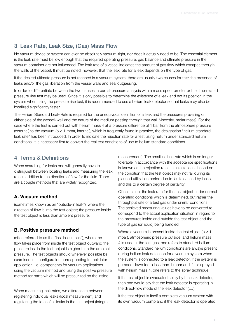# <span id="page-3-0"></span>3 Leak Rate, Leak Size, (Gas) Mass Flow

No vacuum device or system can ever be absolutely vacuum-tight, nor does it actually need to be. The essential element is the leak rate must be low enough that the required operating pressure, gas balance and ultimate pressure in the vacuum container are not influenced. The leak rate of a vessel indicates the amount of gas flow which escapes through the walls of the vessel. It must be noted, however, that the leak rate for a leak depends on the type of gas.

If the desired ultimate pressure is not reached in a vacuum system, there are usually two causes for this: the presence of leaks and/or the gas liberation from the vessel walls and seal outgassing.

In order to differentiate between the two causes, a partial-pressure analysis with a mass spectrometer or the time-related pressure rise test may be used. Since it is only possible to determine the existence of a leak and not its position in the system when using the pressure rise test, it is recommended to use a helium leak detector so that leaks may also be localized significantly faster.

The Helium Standard Leak-Rate is required for the unequivocal definition of a leak and the pressures prevailing on either side of the (vessel) wall and the nature of the medium passing through that wall (viscosity, molar mass). For the case where the test is carried out with helium mass 4 at a pressure difference of 1 bar from the atmosphere pressure (external) to the vacuum (p < 1 mbar, internal), which is frequently found in practice, the designation "helium standard leak rate" has been introduced. In order to indicate the rejection rate for a test using helium under standard helium conditions, it is necessary first to convert the real test conditions of use to helium standard conditions.

### 4 Terms & Definitions

When searching for leaks one will generally have to distinguish between locating leaks and measuring the leak rate in addition to the direction of flow for the fluid. There are a couple methods that are widely recognized:

#### **A. Vacuum method**

(sometimes known as an "outside-in leak"), where the direction of flow is into the test object; the pressure inside the test object is less than ambient pressure.

#### **B. Positive pressure method**

(often referred to as the "inside-out leak"), where the flow takes place from inside the test object outward; the pressure inside the test object is higher than the ambient pressure. The test objects should wherever possible be examined in a configuration corresponding to their later application, i.e. components for vacuum applications using the vacuum method and using the positive pressure method for parts which will be pressurized on the inside.

When measuring leak rates, we differentiate between registering individual leaks (local measurement) and registering the total of all leaks in the test object (integral measurement). The smallest leak rate which is no longer tolerable in accordance with the acceptance specifications is known as the rejection rate. Its calculation is based on the condition that the test object may not fail during its planned utilization period due to faults caused by leaks, and this to a certain degree of certainty.

Often it is not the leak rate for the test object under normal operating conditions which is determined, but rather the throughput rate of a test gas under similar conditions. The achieved measuring values have to be converted to correspond to the actual application situation in regard to the pressures inside and outside the test object and the type of gas (or liquid) being handled.

Where a vacuum is present inside the test object ( $p < 1$ ) mbar), atmospheric pressure outside, and helium mass 4 is used at the test gas, one refers to standard helium conditions. Standard helium conditions are always present during helium leak detection for a vacuum system when the system is connected to a leak detector. If the system is pumped down too p less than 1 mbar and if it is sprayed with helium mass 4, one refers to the spray technique.

If the test object is evacuated solely by the leak detector, then one would say that the leak detector is operating in the direct-flow mode of the leak detector (LD).

If the test object is itself a complete vacuum system with its own vacuum pump and if the leak detector is operated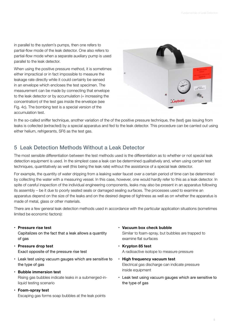<span id="page-4-0"></span>in parallel to the system's pumps, then one refers to partial-flow mode of the leak detector. One also refers to partial-flow mode when a separate auxiliary pump is used parallel to the leak detector.

When using the positive pressure method, it is sometimes either impractical or in fact impossible to measure the leakage rate directly while it could certainly be sensed in an envelope which encloses the test specimen. The measurement can be made by connecting that envelope to the leak detector or by accumulation (= increasing the concentration) of the test gas inside the envelope (see Fig. 4c). The bombing test is a special version of the accumulation test.



In the so-called sniffer technique, another variation of the of the positive pressure technique, the (test) gas issuing from leaks is collected (extracted) by a special apparatus and fed to the leak detector. This procedure can be carried out using either helium, refrigerants, SF6 as the test gas.

# 5 Leak Detection Methods Without a Leak Detector

The most sensible differentiation between the test methods used is the differentiation as to whether or not special leak detection equipment is used. In the simplest case a leak can be determined qualitatively and, when using certain test techniques, quantitatively as well (this being the leak rate) without the assistance of a special leak detector.

For example, the quantity of water dripping from a leaking water faucet over a certain period of time can be determined by collecting the water with a measuring vessel. In this case, however, one would hardly refer to this as a leak detector. In spite of careful inspection of the individual engineering components, leaks may also be present in an apparatus following its assembly – be it due to poorly seated seals or damaged sealing surfaces. The processes used to examine an apparatus depend on the size of the leaks and on the desired degree of tightness as well as on whether the apparatus is made of metal, glass or other materials.

There are a few general leak detection methods used in accordance with the particular application situations (sometimes limited be economic factors):

**• Pressure rise test**

Capitalizes on the fact that a leak allows a quantity of gas

- **• Pressure drop test** Exact opposite of the pressure rise test
- • Leak test using vacuum gauges which are sensitive to the type of gas
- **• Bubble immersion test**

Rising gas bubbles indicate leaks in a submerged-inliquid testing scenario

**• Foam-spray test**

Escaping gas forms soap bubbles at the leak points

- **• Vacuum box check bubble** Similar to foam-spray, but bubbles are trapped to examine flat surfaces
- **• Krypton 85 test**  A radioactive isotope to measure pressure
- **• High frequency vacuum test** Electrical gas discharge can indicate pressure inside equipment
- • Leak test using vacuum gauges which are sensitive to the type of gas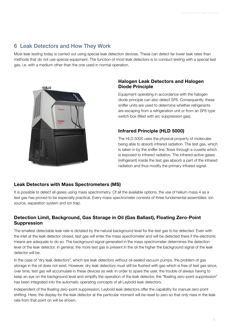# <span id="page-5-0"></span>6 Leak Detectors and How They Work

Most leak testing today is carried out using special leak detection devices. These can detect far lower leak rates than methods that do not use special equipment. The function of most leak detectors is to conduct testing with a special test gas, i.e. with a medium other than the one used in normal operation.



#### **Halogen Leak Detectors and Halogen Diode Principle**

Equipment operating in accordance with the halogen diode principle can also detect SF6. Consequently, these sniffer units are used to determine whether refrigerants are escaping from a refrigeration unit or from an SF6 type switch box (filled with arc suppression gas).

#### **Infrared Principle (HLD 5000)**

The HLD 5000 uses the physical property of molecules being able to absorb infrared radiation. The test gas, which is taken in by the sniffer line, flows through a cuvette which is exposed to infrared radiation. The infrared-active gases (refrigerant) inside the test gas absorb a part of the infrared radiation and thus modify the primary infrared signal.

#### **Leak Detectors with Mass Spectrometers (MS)**

It is possible to detect all gases using mass spectrometry. Of all the available options, the use of helium mass 4 as a test gas has proved to be especially practical. Every mass spectrometer consists of three fundamental assemblies: ion source, separation system and ion trap.

#### **Detection Limit, Background, Gas Storage in Oil (Gas Ballast), Floating Zero-Point Suppression**

The smallest detectable leak rate is dictated by the natural background level for the test gas to be detected. Even with the inlet at the leak detector closed, test gas will enter the mass spectrometer and will be detected there if the electronic means are adequate to do so. The background signal generated in the mass spectrometer determines the detection level of the leak detector. In general, the more test gas is present in the oil the higher the background signal of the leak detector will be.

In the case of "dry leak detectors", which are leak detectors without oil-sealed vacuum pumps, the problem of gas storage in the oil does not exist. However, dry leak detectors must still be flushed with gas which is free of test gas since, over time, test gas will accumulate in these devices as well. In order to spare the user, the trouble of always having to keep an eye on the background level and simplify the operation of the leak detector, the "floating zero-point suppression" has been integrated into the automatic operating concepts of all Leybold leak detectors.

Independent of the floating zero-point suppression, Leybold leak detectors offer the capability for manual zero point shifting. Here, the display for the leak detector at the particular moment will be reset to zero so that only rises in the leak rate from that point on will be shown.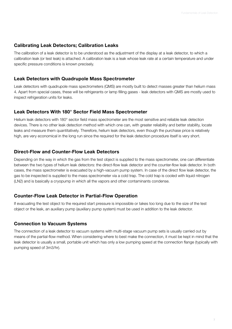#### **Calibrating Leak Detectors; Calibration Leaks**

The calibration of a leak detector is to be understood as the adjustment of the display at a leak detector, to which a calibration leak (or test leak) is attached. A calibration leak is a leak whose leak rate at a certain temperature and under specific pressure conditions is known precisely.

#### **Leak Detectors with Quadrupole Mass Spectrometer**

Leak detectors with quadrupole mass spectrometers (QMS) are mostly built to detect masses greater than helium mass 4. Apart from special cases, these will be refrigerants or lamp filling gases - leak detectors with QMS are mostly used to inspect refrigeration units for leaks.

#### **Leak Detectors With 180° Sector Field Mass Spectrometer**

Helium leak detectors with 180° sector field mass spectrometer are the most sensitive and reliable leak detection devices. There is no other leak detection method with which one can, with greater reliability and better stability, locate leaks and measure them quantitatively. Therefore, helium leak detectors, even though the purchase price is relatively high, are very economical in the long run since the required for the leak detection procedure itself is very short.

#### **Direct-Flow and Counter-Flow Leak Detectors**

Depending on the way in which the gas from the test object is supplied to the mass spectrometer, one can differentiate between the two types of helium leak detectors: the direct-flow leak detector and the counter-flow leak detector. In both cases, the mass spectrometer is evacuated by a high-vacuum pump system. In case of the direct flow leak detector, the gas to be inspected is supplied to the mass spectrometer via a cold trap. The cold trap is cooled with liquid nitrogen (LN2) and is basically a cryopump in which all the vapors and other contaminants condense.

#### **Counter-Flow Leak Detector in Partial-Flow Operation**

If evacuating the test object to the required start pressure is impossible or takes too long due to the size of the test object or the leak, an auxiliary pump (auxiliary pump system) must be used in addition to the leak detector.

#### **Connection to Vacuum Systems**

The connection of a leak detector to vacuum systems with multi-stage vacuum pump sets is usually carried out by means of the partial-flow method. When considering where to best make the connection, it must be kept in mind that the leak detector is usually a small, portable unit which has only a low pumping speed at the connection flange (typically with pumping speed of 3m3/hr).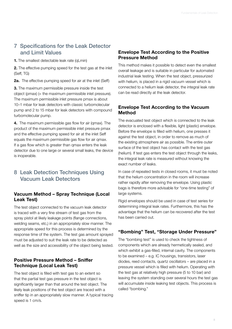# 7 Specifications for the Leak Detector and Limit Values

**1.** The smallest detectable leak rate (qLmin)

**2.** The effective pumping speed for the test gas at the inlet (Seff, TG)

**2a.** The effective pumping speed for air at the inlet (Seff)

**3.** The maximum permissible pressure inside the test object (pmax) (= the maximum permissible inlet pressure). The maximum permissible inlet pressure pmax is about 10–1 mbar for leak detectors with classic turbomolecular pump and 2 to 15 mbar for leak detectors with compound turbomolecular pump.

**4.** The maximum permissible gas flow for air (qmax). The product of the maximum permissible inlet pressure pmax and the effective pumping speed for air at the inlet Seff equals the maximum permissible gas flow for air qmax. If a gas flow which is greater than qmax enters the leak detector due to one large or several small leaks, the device is inoperable.

# 8 Leak Detection Techniques Using Vacuum Leak Detectors

#### **Vacuum Method – Spray Technique (Local Leak Test)**

The test object connected to the vacuum leak detector is traced with a very fine stream of test gas from the spray pistol at likely leakage points (flange connections, welding seams, etc,) in an appropriately slow manner. The appropriate speed for this process is determined by the response time of the system. The test gas amount sprayed must be adjusted to suit the leak rate to be detected as well as the size and accessibility of the object being tested.

#### **Positive Pressure Method – Sniffer Technique (Local Leak Test)**

The test object is filled with test gas to an extent so that the partial test gas pressure in the test object is significantly larger than that around the test object. The likely leak positions of the test object are traced with a sniffer tip in an appropriately slow manner. A typical tracing speed is 1 cm/s.

#### **Envelope Test According to the Positive Pressure Method**

This method makes it possible to detect even the smallest overall leakage and is suitable in particular for automated industrial leak testing. When the test object, pressurized with helium, is placed in a rigid vacuum vessel which is connected to a helium leak detector, the integral leak rate can be read directly at the leak detector.

#### **Envelope Test According to the Vacuum Method**

The evacuated test object which is connected to the leak detector is enclosed with a flexible, light (plastic) envelope. Before the envelope is filled with helium, one presses it against the test object, in order to remove as much of the existing atmosphere air as possible. The entire outer surface of the test object has contact with the test gas (helium). If test gas enters the test object through the leaks, the integral leak rate is measured without knowing the exact number of leaks.

In case of repeated tests in closed rooms, it must be noted that the helium concentration in the room will increase rather rapidly after removing the envelope. Using plastic bags is therefore more advisable for "one-time testing" of large systems.

Rigid envelopes should be used in case of test series for determining integral leak rates. Furthermore, this has the advantage that the helium can be recovered after the test has been carried out.

### **"Bombing" Test, "Storage Under Pressure"**

The "bombing test" is used to check the tightness of components which are already hermetically sealed, and which exhibit a gas-filled, internal cavity. The components to be examined – e.g. IC housings, transistors, laser diodes, reed contacts, quartz oscillators – are placed in a pressure vessel which is filled with helium. Operating with the test gas at relatively high pressure (5 to 10 bar) and leaving the system standing over several hours the test gas will accumulate inside leaking test objects. This process is called "bombing."